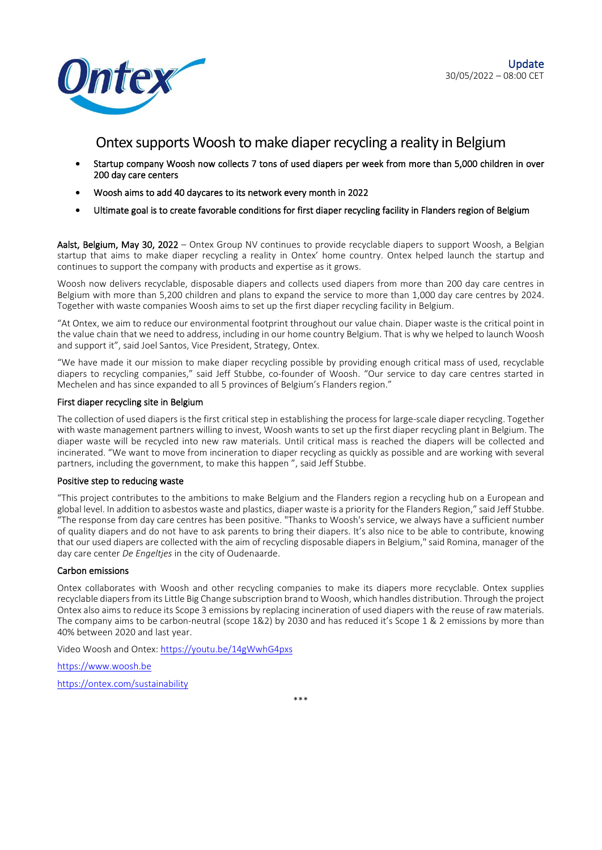



# Ontex supports Woosh to make diaper recycling a reality in Belgium

- Startup company Woosh now collects 7 tons of used diapers per week from more than 5,000 children in over 200 day care centers
- Woosh aims to add 40 daycares to its network every month in 2022
- Ultimate goal is to create favorable conditions for first diaper recycling facility in Flanders region of Belgium

Aalst, Belgium, May 30, 2022 – Ontex Group NV continues to provide recyclable diapers to support Woosh, a Belgian startup that aims to make diaper recycling a reality in Ontex' home country. Ontex helped launch the startup and continues to support the company with products and expertise as it grows.

Woosh now delivers recyclable, disposable diapers and collects used diapers from more than 200 day care centres in Belgium with more than 5,200 children and plans to expand the service to more than 1,000 day care centres by 2024. Together with waste companies Woosh aims to set up the first diaper recycling facility in Belgium.

"At Ontex, we aim to reduce our environmental footprint throughout our value chain. Diaper waste is the critical point in the value chain that we need to address, including in our home country Belgium. That is why we helped to launch Woosh and support it", said Joel Santos, Vice President, Strategy, Ontex.

"We have made it our mission to make diaper recycling possible by providing enough critical mass of used, recyclable diapers to recycling companies," said Jeff Stubbe, co-founder of Woosh. "Our service to day care centres started in Mechelen and has since expanded to all 5 provinces of Belgium's Flanders region."

#### First diaper recycling site in Belgium

The collection of used diapers is the first critical step in establishing the process for large-scale diaper recycling. Together with waste management partners willing to invest, Woosh wants to set up the first diaper recycling plant in Belgium. The diaper waste will be recycled into new raw materials. Until critical mass is reached the diapers will be collected and incinerated. "We want to move from incineration to diaper recycling as quickly as possible and are working with several partners, including the government, to make this happen ", said Jeff Stubbe.

### Positive step to reducing waste

"This project contributes to the ambitions to make Belgium and the Flanders region a recycling hub on a European and global level. In addition to asbestos waste and plastics, diaper waste is a priority for the Flanders Region," said Jeff Stubbe. "The response from day care centres has been positive. "Thanks to Woosh's service, we always have a sufficient number of quality diapers and do not have to ask parents to bring their diapers. It's also nice to be able to contribute, knowing that our used diapers are collected with the aim of recycling disposable diapers in Belgium," said Romina, manager of the day care center *De Engeltjes* in the city of Oudenaarde.

#### Carbon emissions

Ontex collaborates with Woosh and other recycling companies to make its diapers more recyclable. Ontex supplies recyclable diapers from its Little Big Change subscription brand to Woosh, which handles distribution. Through the project Ontex also aims to reduce its Scope 3 emissions by replacing incineration of used diapers with the reuse of raw materials. The company aims to be carbon-neutral (scope 1&2) by 2030 and has reduced it's Scope 1 & 2 emissions by more than 40% between 2020 and last year.

Video Woosh and Ontex:<https://youtu.be/14gWwhG4pxs>

[https://www.woosh.be](https://www.woosh.be/)

<https://ontex.com/sustainability>

\*\*\*